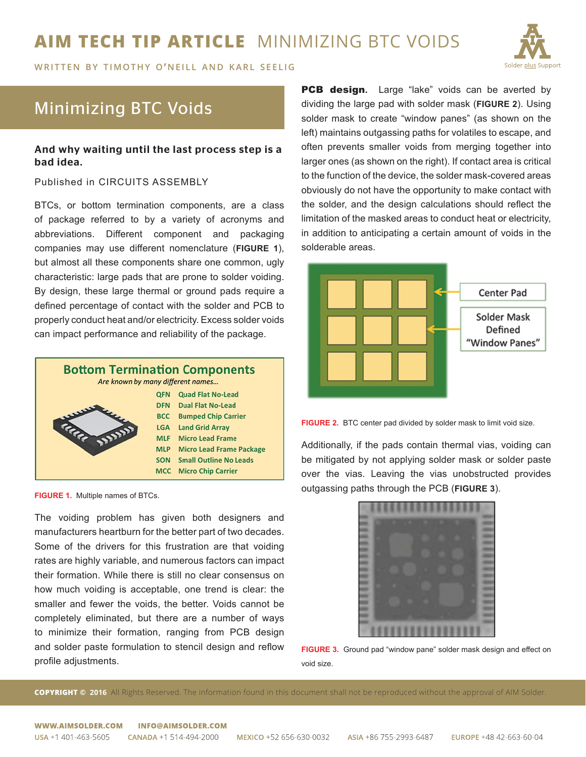# **AIM TECH TIP ARTICLE** MINIMIZING BTC VOIDS

**WRITTEN BY TIMOTHY O'NEILL AND KARL SEELIG** 



## Minimizing BTC Voids

### And why waiting until the last process step is a bad idea.

#### Published in CIRCUITS ASSEMBLY

BTCs, or bottom termination components, are a class of package referred to by a variety of acronyms and abbreviations. Different component and packaging companies may use different nomenclature (**FIGURE 1**), but almost all these components share one common, ugly characteristic: large pads that are prone to solder voiding. By design, these large thermal or ground pads require a defined percentage of contact with the solder and PCB to properly conduct heat and/or electricity. Excess solder voids can impact performance and reliability of the package.



**FIGURE 1.** Multiple names of BTCs.

The voiding problem has given both designers and manufacturers heartburn for the better part of two decades. Some of the drivers for this frustration are that voiding rates are highly variable, and numerous factors can impact their formation. While there is still no clear consensus on how much voiding is acceptable, one trend is clear: the smaller and fewer the voids, the better. Voids cannot be completely eliminated, but there are a number of ways to minimize their formation, ranging from PCB design and solder paste formulation to stencil design and reflow profile adjustments.

**PCB design.** Large "lake" voids can be averted by dividing the large pad with solder mask (**FIGURE 2**). Using solder mask to create "window panes" (as shown on the left) maintains outgassing paths for volatiles to escape, and often prevents smaller voids from merging together into larger ones (as shown on the right). If contact area is critical to the function of the device, the solder mask-covered areas obviously do not have the opportunity to make contact with the solder, and the design calculations should reflect the limitation of the masked areas to conduct heat or electricity, in addition to anticipating a certain amount of voids in the solderable areas.





Additionally, if the pads contain thermal vias, voiding can be mitigated by not applying solder mask or solder paste over the vias. Leaving the vias unobstructed provides outgassing paths through the PCB (**FIGURE 3**).



**FIGURE 3.** Ground pad "window pane" solder mask design and effect on void size.

**COPYRIGHT © 2016** All Rights Reserved. The information found in this document shall not be reproduced without the approval of AIM Solder.

#### WWW.AIMSOLDER.COM **INFO@AIMSOLDER.COM**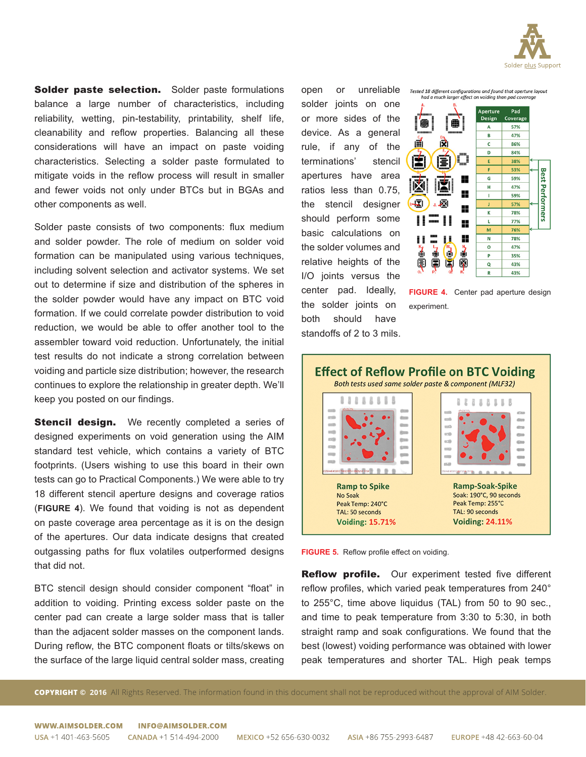

Solder paste selection. Solder paste formulations balance a large number of characteristics, including reliability, wetting, pin-testability, printability, shelf life, cleanability and reflow properties. Balancing all these considerations will have an impact on paste voiding characteristics. Selecting a solder paste formulated to mitigate voids in the reflow process will result in smaller and fewer voids not only under BTCs but in BGAs and other components as well.

Solder paste consists of two components: flux medium and solder powder. The role of medium on solder void formation can be manipulated using various techniques, including solvent selection and activator systems. We set out to determine if size and distribution of the spheres in the solder powder would have any impact on BTC void formation. If we could correlate powder distribution to void reduction, we would be able to offer another tool to the assembler toward void reduction. Unfortunately, the initial test results do not indicate a strong correlation between voiding and particle size distribution; however, the research continues to explore the relationship in greater depth. We'll keep you posted on our findings.

**Stencil design.** We recently completed a series of designed experiments on void generation using the AIM standard test vehicle, which contains a variety of BTC footprints. (Users wishing to use this board in their own tests can go to Practical Components.) We were able to try 18 different stencil aperture designs and coverage ratios (**FIGURE 4**). We found that voiding is not as dependent on paste coverage area percentage as it is on the design of the apertures. Our data indicate designs that created outgassing paths for flux volatiles outperformed designs that did not.

BTC stencil design should consider component "float" in addition to voiding. Printing excess solder paste on the center pad can create a large solder mass that is taller than the adjacent solder masses on the component lands. During reflow, the BTC component floats or tilts/skews on the surface of the large liquid central solder mass, creating

open or unreliable solder joints on one or more sides of the device. As a general rule, if any of the terminations' stencil apertures have area ratios less than 0.75, the stencil designer should perform some basic calculations on the solder volumes and relative heights of the I/O joints versus the center pad. Ideally, the solder joints on both should have standoffs of 2 to 3 mils.



**FIGURE 4.** Center pad aperture design experiment.





**Reflow profile.** Our experiment tested five different reflow profiles, which varied peak temperatures from 240° to 255°C, time above liquidus (TAL) from 50 to 90 sec., and time to peak temperature from 3:30 to 5:30, in both straight ramp and soak configurations. We found that the best (lowest) voiding performance was obtained with lower peak temperatures and shorter TAL. High peak temps

**COPYRIGHT © 2016** All Rights Reserved. The information found in this document shall not be reproduced without the approval of AIM Solder.

WWW.AIMSOLDER.COM **INFO@AIMSOLDER.COM**